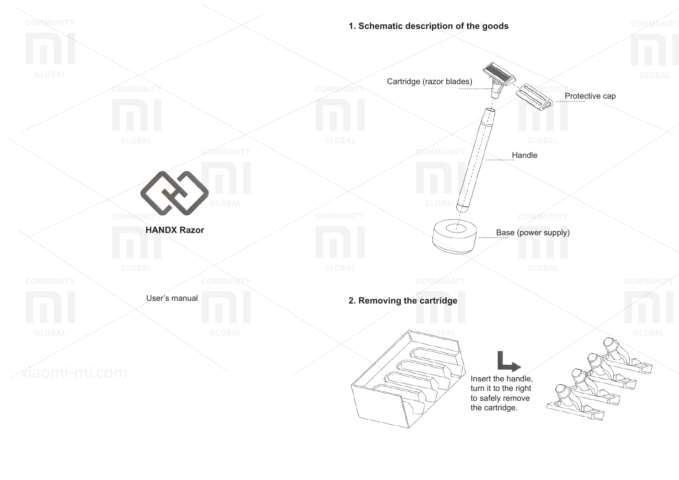